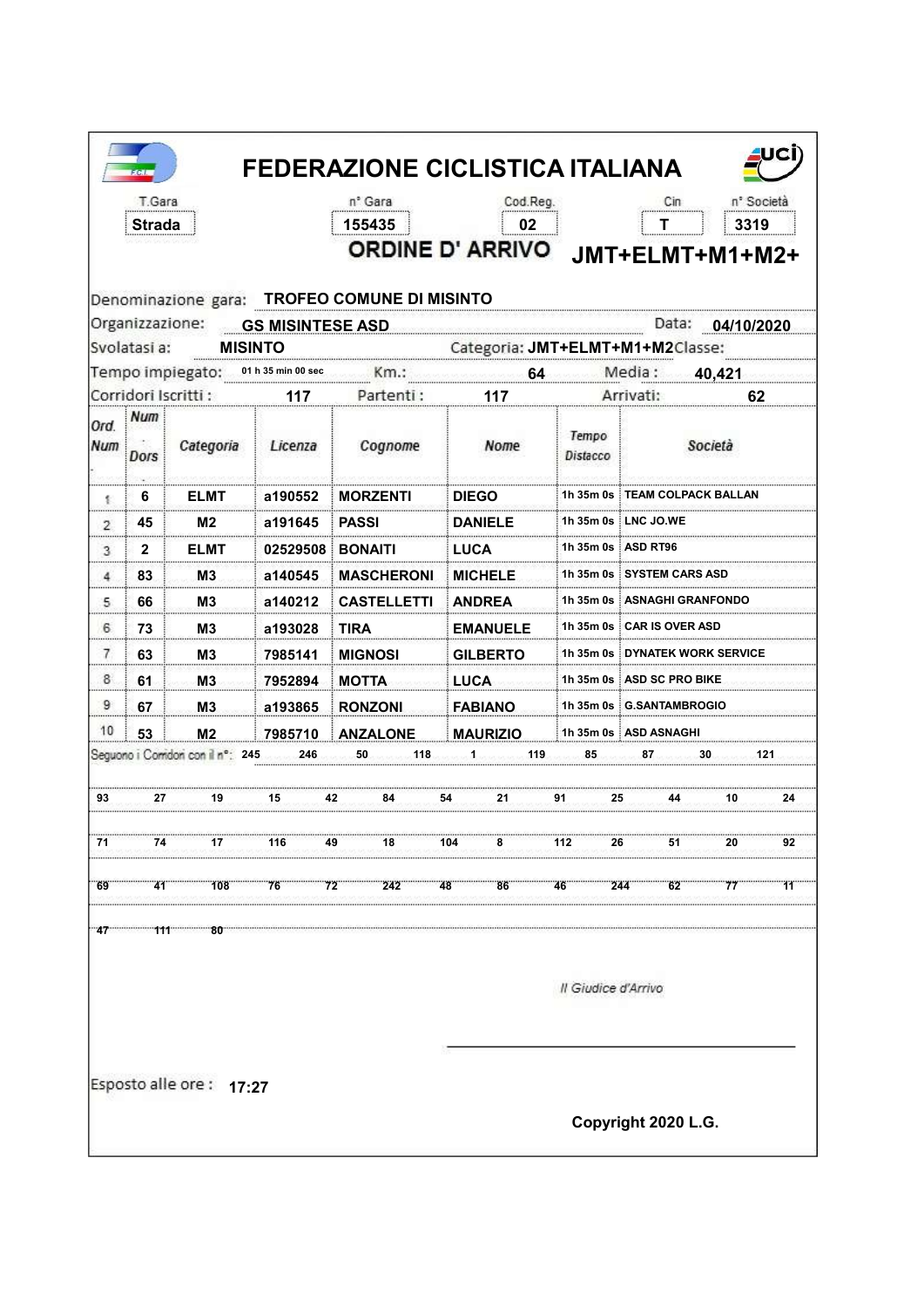|            | T.Gara       |                                       |                | n° Gara                                      | Cod.Reg.                                                             |                     | <b>FEDERAZIONE CICLISTICA ITALIANA</b><br>Cin |                  | n <sup>*</sup> Società |
|------------|--------------|---------------------------------------|----------------|----------------------------------------------|----------------------------------------------------------------------|---------------------|-----------------------------------------------|------------------|------------------------|
|            | Strada       |                                       |                | 155435                                       | 02<br><b>ORDINE D' ARRIVO</b>                                        |                     | Τ<br>JMT+ELMT+M1+M2+                          |                  | 3319                   |
|            |              |                                       |                | Denominazione gara: TROFEO COMUNE DI MISINTO |                                                                      |                     |                                               | Data: 04/10/2020 |                        |
|            | Svolatasi a: |                                       | <b>MISINTO</b> |                                              | Organizzazione: GS MISINTESE ASD<br>Categoria: JMT+ELMT+M1+M2Classe: |                     |                                               |                  |                        |
|            |              | Tempo impiegato: 01 h 35 min 00 sec   |                | km.:                                         | <b>64 Media</b> :                                                    |                     |                                               | 40,421           |                        |
|            |              | Corridori Iscritti:                   | 117            | Partenti:                                    | 117                                                                  |                     | Arrivati:                                     |                  | 62                     |
| Ord<br>Num | Num<br>Dors  | Categoria                             | Licenza        | Cognome                                      | Nome                                                                 | Tempo<br>Distacco   |                                               | Società          |                        |
| 髪          | 6            | <b>ELMT</b>                           | a190552        | <b>MORZENTI</b>                              | <b>DIEGO</b>                                                         |                     | 1h 35m 0s ∃TEAM COLPACK BALLAN                |                  |                        |
| 2          | 45           | M <sub>2</sub>                        | a191645        | <b>PASSI</b>                                 | <b>DANIELE</b>                                                       |                     | 1h 35m 0s LNC JO.WE                           |                  |                        |
| 3          | $\mathbf{2}$ | <b>ELMT</b>                           | 02529508       | <b>BONAITI</b>                               | LUCA                                                                 |                     | 1h 35m 0s   ASD RT96                          |                  |                        |
| 4          | 83           | M3                                    | a140545        | <b>MASCHERONI</b>                            | <b>MICHELE</b>                                                       |                     | 1h 35m 0s i SYSTEM CARS ASD                   |                  |                        |
| 5          | 66           | M3                                    | a140212        | <b>CASTELLETTI</b>                           | <b>ANDREA</b>                                                        |                     | 1h 35m 0s : ASNAGHI GRANFONDO                 |                  |                        |
| 6          | 73           | M3                                    | a193028        | <b>TIRA</b>                                  | <b>EMANUELE</b>                                                      |                     | 1h 35m 0s ‡CAR IS OVER ASD                    |                  |                        |
| 7          | 63           | M3                                    | 7985141        | <b>MIGNOSI</b>                               | <b>GILBERTO</b>                                                      |                     | 1h 35m 0s ∃DYNATEK WORK SERVICE               |                  |                        |
| 8          | 61           | M <sub>3</sub>                        | 7952894        | <b>MOTTA</b>                                 | <b>LUCA</b>                                                          |                     | 1h 35m 0s ASD SC PRO BIKE                     |                  |                        |
| 9          | 67           | M3                                    | a193865        | <b>RONZONI</b>                               | <b>FABIANO</b>                                                       |                     | 1h 35m 0s G.SANTAMBROGIO                      |                  |                        |
| 10         | 53           | M <sub>2</sub>                        | 7985710        | <b>ANZALONE</b>                              | <b>MAURIZIO</b>                                                      |                     | 1h 35m 0s ASD ASNAGHI                         |                  |                        |
|            |              | Seguono i Comidori con il nº: 245 246 |                | 50<br>118                                    | <b>Conservation</b><br>119                                           | 85                  | 87                                            | -30              |                        |
| 93         | 27           | 19                                    | 15             | 42<br>84                                     | 21                                                                   | 91<br>25            |                                               | 10               | 24                     |
| 71         | 74           | 17                                    | 116            | 49<br>18                                     | 104<br>8                                                             | 112<br>26           | 51                                            | 20               | 92                     |
| 69         |              |                                       |                |                                              | - 41 108 76 72 242 48 86 46 244 62 77                                |                     |                                               |                  | 11                     |
|            |              | 47 111 80                             |                |                                              |                                                                      |                     |                                               |                  |                        |
|            |              |                                       |                |                                              |                                                                      | Il Giudice d'Arrivo |                                               |                  |                        |
|            |              | Esposto alle ore: 17:27               |                |                                              |                                                                      |                     |                                               |                  |                        |
|            |              |                                       |                |                                              |                                                                      |                     |                                               |                  |                        |
|            |              |                                       |                |                                              |                                                                      |                     | Copyright 2020 L.G.                           |                  |                        |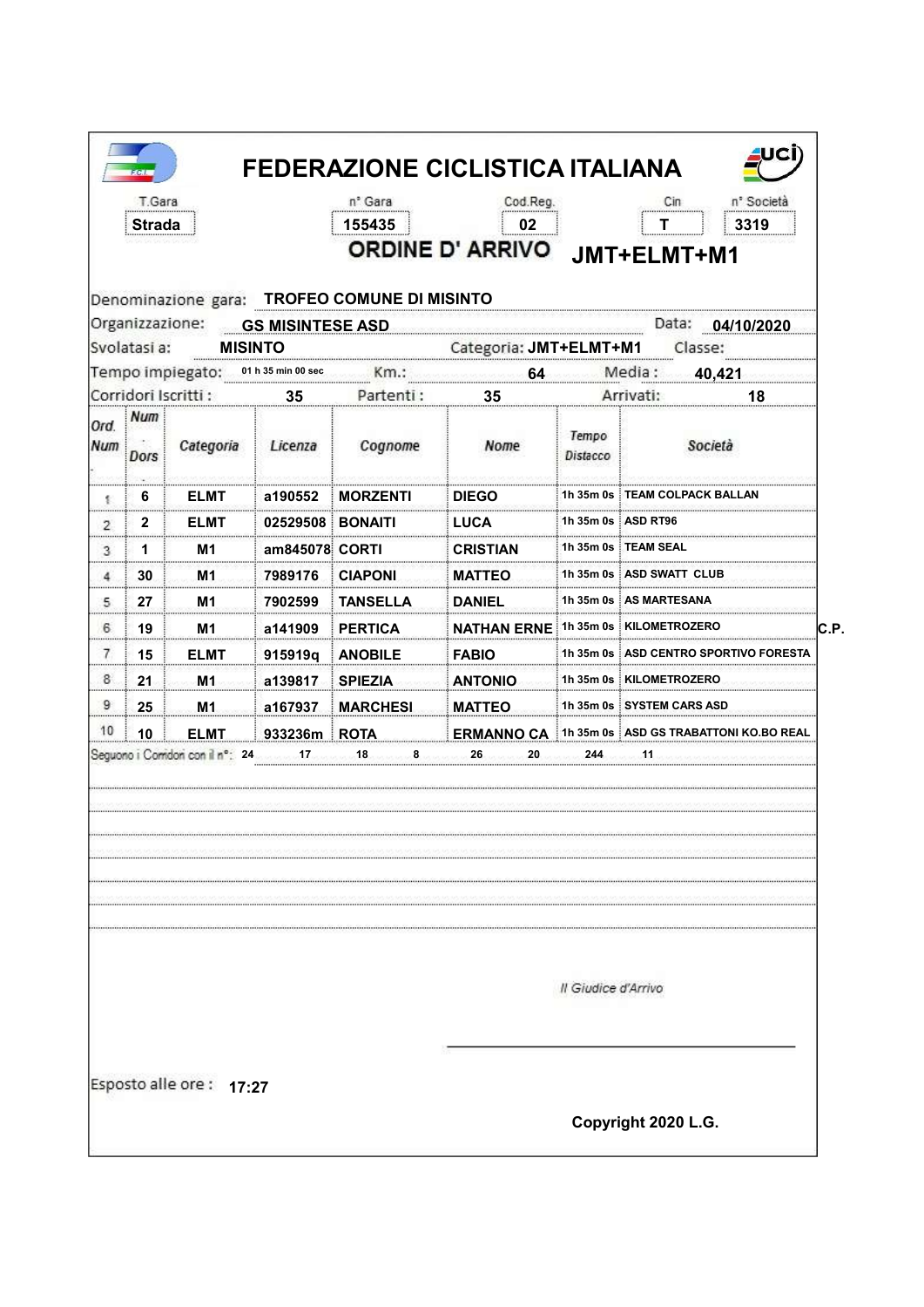| Denominazione gara: TROFEO COMUNE DI MISINTO<br>Organizzazione:<br><b>GS MISINTESE ASD</b><br><b>MISINTO</b><br>01 h 35 min 00 sec<br>Km.:<br>Partenti:<br>35<br>Num<br>Categoria<br>Licenza<br>Cognome<br><b>Dors</b><br><b>ELMT</b><br><b>MORZENTI</b><br>6<br>a190552<br>髪<br>02529508 BONAIT<br><b>ELMT</b><br>2<br>2<br>1<br>M1<br>am845078 CORTI<br>3<br>30<br>M1<br>7989176<br><b>CIAPONI</b><br>4<br>5<br>27<br>M1<br>7902599<br><b>TANSELLA</b> | <br>Categoria: JMT+ELMT+M1<br>64<br>35<br>Nome<br><b>DIEGO</b><br>LUCA | Tempo<br>Distacco   | Data: 04/10/2020<br>Classe:<br>Media:<br>40,421<br>Arrivati:<br>18<br>Società |
|----------------------------------------------------------------------------------------------------------------------------------------------------------------------------------------------------------------------------------------------------------------------------------------------------------------------------------------------------------------------------------------------------------------------------------------------------------|------------------------------------------------------------------------|---------------------|-------------------------------------------------------------------------------|
| Svolatasi a:<br>Tempo impiegato:                                                                                                                                                                                                                                                                                                                                                                                                                         |                                                                        |                     |                                                                               |
|                                                                                                                                                                                                                                                                                                                                                                                                                                                          |                                                                        |                     |                                                                               |
| Corridori Iscritti:<br>Ord.<br>Num                                                                                                                                                                                                                                                                                                                                                                                                                       |                                                                        |                     |                                                                               |
|                                                                                                                                                                                                                                                                                                                                                                                                                                                          |                                                                        |                     |                                                                               |
|                                                                                                                                                                                                                                                                                                                                                                                                                                                          |                                                                        |                     |                                                                               |
|                                                                                                                                                                                                                                                                                                                                                                                                                                                          |                                                                        |                     | 1h 35m 0s TEAM COLPACK BALLAN                                                 |
|                                                                                                                                                                                                                                                                                                                                                                                                                                                          |                                                                        |                     | 1h 35m 0s ASD RT96                                                            |
|                                                                                                                                                                                                                                                                                                                                                                                                                                                          | <b>CRISTIAN</b>                                                        |                     | 1h 35m 0s ∶TEAM SEAL                                                          |
|                                                                                                                                                                                                                                                                                                                                                                                                                                                          | <b>MATTEO</b>                                                          |                     | 1h 35m 0s   ASD SWATT CLUB                                                    |
|                                                                                                                                                                                                                                                                                                                                                                                                                                                          | <b>DANIEL</b>                                                          |                     | 1h 35m 0s : AS MARTESANA                                                      |
| 6<br>19<br>M1<br>a141909<br><b>PERTICA</b>                                                                                                                                                                                                                                                                                                                                                                                                               | <b>NATHAN ERNE</b>                                                     |                     | 1h 35m 0s   KILOMETROZERO                                                     |
| 7<br>15<br><b>ELMT</b><br><b>ANOBILE</b><br>915919q                                                                                                                                                                                                                                                                                                                                                                                                      | <b>FABIO</b>                                                           |                     | 1h 35m 0s : ASD CENTRO SPOR                                                   |
| 8<br>21<br>M1<br>a139817<br><b>SPIEZIA</b>                                                                                                                                                                                                                                                                                                                                                                                                               | <b>ANTONIO</b>                                                         |                     | 1h 35m 0s KILOMETROZERO                                                       |
| 9<br>25<br>M <sub>1</sub><br>a167937<br><b>MARCHESI</b>                                                                                                                                                                                                                                                                                                                                                                                                  | <b>MATTEO</b>                                                          |                     | 1h 35m 0s SYSTEM CARS ASD                                                     |
| 10<br>10<br>ELMT.<br>933236m ROTA                                                                                                                                                                                                                                                                                                                                                                                                                        |                                                                        |                     | ERMANNO CA 1h 35m 0s ASD GS TRABATTONI KO.BO REAL                             |
| Seguono i Corridori con il nº: 24                                                                                                                                                                                                                                                                                                                                                                                                                        |                                                                        | Il Giudice d'Arrivo |                                                                               |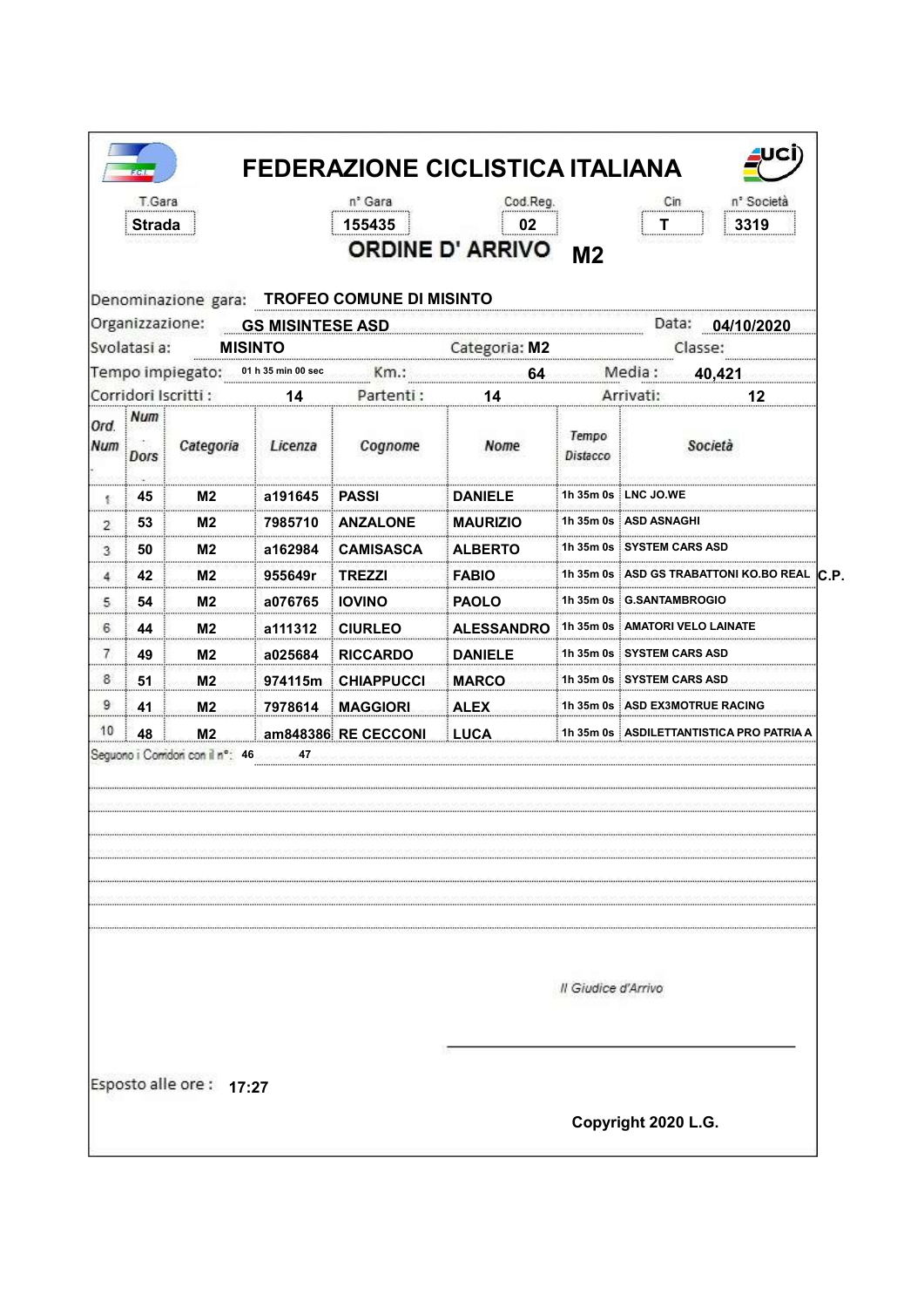| Organizzazione:<br>Num<br>Dors<br>45<br>髪<br>53<br>$\overline{2}$<br>50<br>3 | <b>MISINTO</b><br>Categoria | <b>GS MISINTESE ASD</b><br>01 h 35 min 00 sec<br>14 | Denominazione gara: TROFEO COMUNE DI MISINTO<br>Km.:<br>Partenti: | Categoria: M2<br>64 |                     | Data: 04/10/2020<br>Classe:                |
|------------------------------------------------------------------------------|-----------------------------|-----------------------------------------------------|-------------------------------------------------------------------|---------------------|---------------------|--------------------------------------------|
| Svolatasi a:                                                                 |                             |                                                     |                                                                   |                     |                     |                                            |
| Tempo impiegato:<br>Corridori Iscritti:                                      |                             |                                                     |                                                                   |                     |                     |                                            |
|                                                                              |                             |                                                     |                                                                   |                     |                     | Media:<br>40,421                           |
| Ord.<br>Num                                                                  |                             |                                                     |                                                                   | 14                  |                     | Arrivati:<br>12                            |
|                                                                              |                             | Licenza                                             | Cognome                                                           | Nome                | Tempo<br>Distacco   | Società                                    |
|                                                                              | M2                          | a191645                                             | <b>PASSI</b>                                                      | <b>DANIELE</b>      |                     | 1h 35m 0s ∃LNC JO.WE                       |
|                                                                              | M2                          | 7985710                                             | <b>ANZALONE</b>                                                   | <b>MAURIZIO</b>     |                     | 1h 35m 0s ASD ASNAGHI                      |
|                                                                              | M2                          | a162984                                             | CAMISASCA                                                         | <b>ALBERTO</b>      |                     | 1h 35m 0s : SYSTEM CARS ASD                |
| 42<br>4                                                                      | M2                          | 955649r                                             | <b>TREZZI</b>                                                     | <b>FABIO</b>        |                     | 1h 35m 0s ASD GS TRABATTONI                |
| 5.<br>54                                                                     | M2                          | a076765                                             | <b>IOVINO</b>                                                     | <b>PAOLO</b>        |                     | 1h 35m 0s G.SANTAMBROGIO                   |
| 6<br>44                                                                      | M2                          | a111312                                             | <b>CIURLEO</b>                                                    | <b>ALESSANDRO</b>   |                     | 1h 35m 0s : AMATORI VELO LAINATE           |
| 7<br>49                                                                      | M2                          | a025684                                             | <b>RICCARDO</b>                                                   | <b>DANIELE</b>      |                     | 1h 35m 0s i SYSTEM CARS ASD                |
| 8<br>51                                                                      | M <sub>2</sub>              | 974115m                                             | <b>CHIAPPUCCI</b>                                                 | <b>MARCO</b>        |                     | 1h 35m 0s SYSTEM CARS ASD                  |
| 9<br>41                                                                      | M <sub>2</sub>              | 7978614<br>3                                        | <b>MAGGIORI</b>                                                   | <b>ALEX</b>         |                     | 1h 35m 0s ┆ASD EX3MOTRUE RACING            |
| 10<br>48                                                                     | M <sub>2</sub>              |                                                     | am848386 RE CECCONI                                               | <b>LUCA</b>         |                     | 1h 35m 0s   ASDILETTANTISTICA PRO PATRIA A |
| Seguono i Corridori con il nº: 46                                            |                             |                                                     |                                                                   |                     | Il Giudice d'Arrivo |                                            |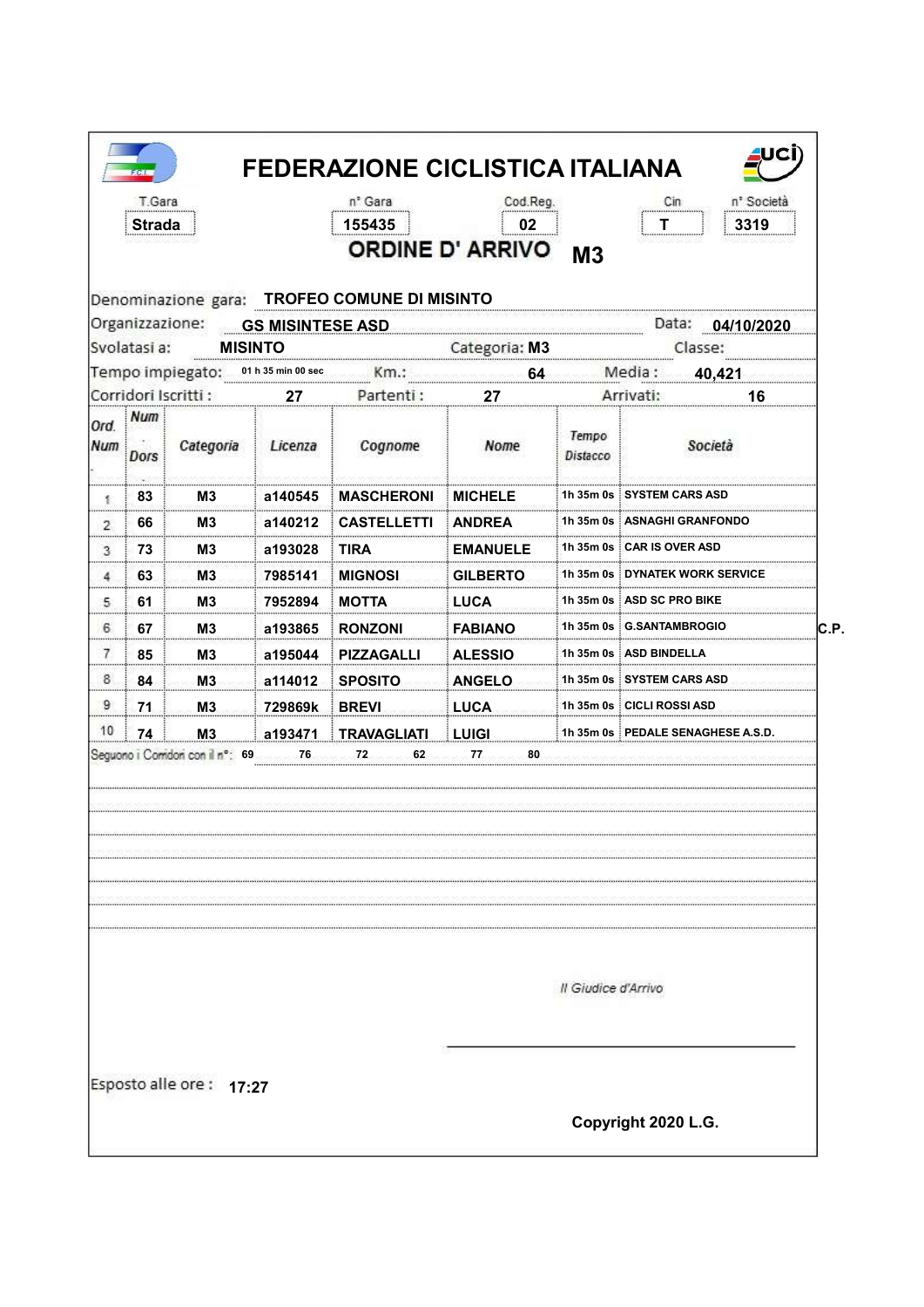| Denominazione gara: TROFEO COMUNE DI MISINTO<br>Organizzazione:<br>Data: 04/10/2020<br><b>GS MISINTESE ASD</b><br>Svolatasi a:<br><b>MISINTO</b><br>Categoria: M3<br>Classe:<br>Tempo impiegato:<br>Media:<br>01 h 35 min 00 sec<br>40,421<br>Km.:<br>64<br>Corridori Iscritti :<br>Partenti:<br>Arrivati:<br>16<br>27<br>27<br>Num<br>Tempo<br>Società<br>Categoria<br>Licenza<br>Cognome<br>Nome<br><b>Dors</b><br>Distacco<br>1h 35m 0s ┊SYSTEM CARS ASD<br>83<br>M3<br>a140545<br><b>MASCHERONI</b><br><b>MICHELE</b><br>髪<br>1h 35m 0s ASNAGHI GRANFONDO<br>66<br>M3<br>a140212<br><b>CASTELLETTI</b><br>ANDREA<br>$\overline{2}$<br>1h 35m 0s : CAR IS OVER ASD<br>73<br>М3<br>a193028<br>TIRA<br><b>EMANUELE</b><br>3<br>1h 35m 0s i DYNATEK WORK SERVICE<br>63<br><b>MIGNOSI</b><br>М3<br>7985141<br><b>GILBERTO</b><br>4<br>1h 35m 0s ASD SC PRO BIKE<br>61<br><b>LUCA</b><br>5.<br>M3<br>7952894<br><b>MOTTA</b><br>1h 35m 0s i G.SANTAMBROGIO<br>IC.P.<br>6<br>67<br>M3<br>a193865<br><b>RONZONI</b><br><b>FABIANO</b><br>7<br>85<br>1h 35m 0s : ASD BINDELL<br>M3<br>a195044<br><b>PIZZAGALLI</b><br><b>ALESSIO</b><br>8<br>84<br>M3<br>a114012<br><b>SPOSITO</b><br><b>ANGELO</b><br>1h 35m 0s SYSTEM CARS ASD<br>9<br>71<br>1h 35m 0s : CICLI ROSSI ASD<br>M <sub>3</sub><br><b>BREVI</b><br><b>LUCA</b><br>729869k<br>10<br>74<br>1h 35m 0s PEDALE SENAGHESE A.S.D.<br>M <sub>3</sub><br>a193471<br><b>TRAVAGLIATI</b><br><b>LUIGI</b><br>76<br>72<br>62<br>77<br>80 | T Gara<br><b>Strada</b> |  | n° Gara<br>155435 | Cod.Reg.<br>02<br><b>ORDINE D' ARRIVO</b> | M <sub>3</sub> | n <sup>°</sup> Società<br>Cin<br>3319 |
|-------------------------------------------------------------------------------------------------------------------------------------------------------------------------------------------------------------------------------------------------------------------------------------------------------------------------------------------------------------------------------------------------------------------------------------------------------------------------------------------------------------------------------------------------------------------------------------------------------------------------------------------------------------------------------------------------------------------------------------------------------------------------------------------------------------------------------------------------------------------------------------------------------------------------------------------------------------------------------------------------------------------------------------------------------------------------------------------------------------------------------------------------------------------------------------------------------------------------------------------------------------------------------------------------------------------------------------------------------------------------------------------------------------------------------------------------------------------------------------|-------------------------|--|-------------------|-------------------------------------------|----------------|---------------------------------------|
|                                                                                                                                                                                                                                                                                                                                                                                                                                                                                                                                                                                                                                                                                                                                                                                                                                                                                                                                                                                                                                                                                                                                                                                                                                                                                                                                                                                                                                                                                     |                         |  |                   |                                           |                |                                       |
|                                                                                                                                                                                                                                                                                                                                                                                                                                                                                                                                                                                                                                                                                                                                                                                                                                                                                                                                                                                                                                                                                                                                                                                                                                                                                                                                                                                                                                                                                     |                         |  |                   |                                           |                |                                       |
|                                                                                                                                                                                                                                                                                                                                                                                                                                                                                                                                                                                                                                                                                                                                                                                                                                                                                                                                                                                                                                                                                                                                                                                                                                                                                                                                                                                                                                                                                     |                         |  |                   |                                           |                |                                       |
| Ord.<br>Num                                                                                                                                                                                                                                                                                                                                                                                                                                                                                                                                                                                                                                                                                                                                                                                                                                                                                                                                                                                                                                                                                                                                                                                                                                                                                                                                                                                                                                                                         |                         |  |                   |                                           |                |                                       |
|                                                                                                                                                                                                                                                                                                                                                                                                                                                                                                                                                                                                                                                                                                                                                                                                                                                                                                                                                                                                                                                                                                                                                                                                                                                                                                                                                                                                                                                                                     |                         |  |                   |                                           |                |                                       |
|                                                                                                                                                                                                                                                                                                                                                                                                                                                                                                                                                                                                                                                                                                                                                                                                                                                                                                                                                                                                                                                                                                                                                                                                                                                                                                                                                                                                                                                                                     |                         |  |                   |                                           |                |                                       |
| Seguono i Comidori con il nº: 69                                                                                                                                                                                                                                                                                                                                                                                                                                                                                                                                                                                                                                                                                                                                                                                                                                                                                                                                                                                                                                                                                                                                                                                                                                                                                                                                                                                                                                                    |                         |  |                   |                                           |                |                                       |
|                                                                                                                                                                                                                                                                                                                                                                                                                                                                                                                                                                                                                                                                                                                                                                                                                                                                                                                                                                                                                                                                                                                                                                                                                                                                                                                                                                                                                                                                                     |                         |  |                   |                                           |                |                                       |
|                                                                                                                                                                                                                                                                                                                                                                                                                                                                                                                                                                                                                                                                                                                                                                                                                                                                                                                                                                                                                                                                                                                                                                                                                                                                                                                                                                                                                                                                                     |                         |  |                   |                                           |                |                                       |
|                                                                                                                                                                                                                                                                                                                                                                                                                                                                                                                                                                                                                                                                                                                                                                                                                                                                                                                                                                                                                                                                                                                                                                                                                                                                                                                                                                                                                                                                                     |                         |  |                   |                                           |                |                                       |
|                                                                                                                                                                                                                                                                                                                                                                                                                                                                                                                                                                                                                                                                                                                                                                                                                                                                                                                                                                                                                                                                                                                                                                                                                                                                                                                                                                                                                                                                                     |                         |  |                   |                                           |                |                                       |
|                                                                                                                                                                                                                                                                                                                                                                                                                                                                                                                                                                                                                                                                                                                                                                                                                                                                                                                                                                                                                                                                                                                                                                                                                                                                                                                                                                                                                                                                                     |                         |  |                   |                                           |                |                                       |
|                                                                                                                                                                                                                                                                                                                                                                                                                                                                                                                                                                                                                                                                                                                                                                                                                                                                                                                                                                                                                                                                                                                                                                                                                                                                                                                                                                                                                                                                                     |                         |  |                   |                                           |                |                                       |
|                                                                                                                                                                                                                                                                                                                                                                                                                                                                                                                                                                                                                                                                                                                                                                                                                                                                                                                                                                                                                                                                                                                                                                                                                                                                                                                                                                                                                                                                                     |                         |  |                   |                                           |                |                                       |
|                                                                                                                                                                                                                                                                                                                                                                                                                                                                                                                                                                                                                                                                                                                                                                                                                                                                                                                                                                                                                                                                                                                                                                                                                                                                                                                                                                                                                                                                                     |                         |  |                   |                                           |                |                                       |
| Il Giudice d'Arrivo                                                                                                                                                                                                                                                                                                                                                                                                                                                                                                                                                                                                                                                                                                                                                                                                                                                                                                                                                                                                                                                                                                                                                                                                                                                                                                                                                                                                                                                                 |                         |  |                   |                                           |                |                                       |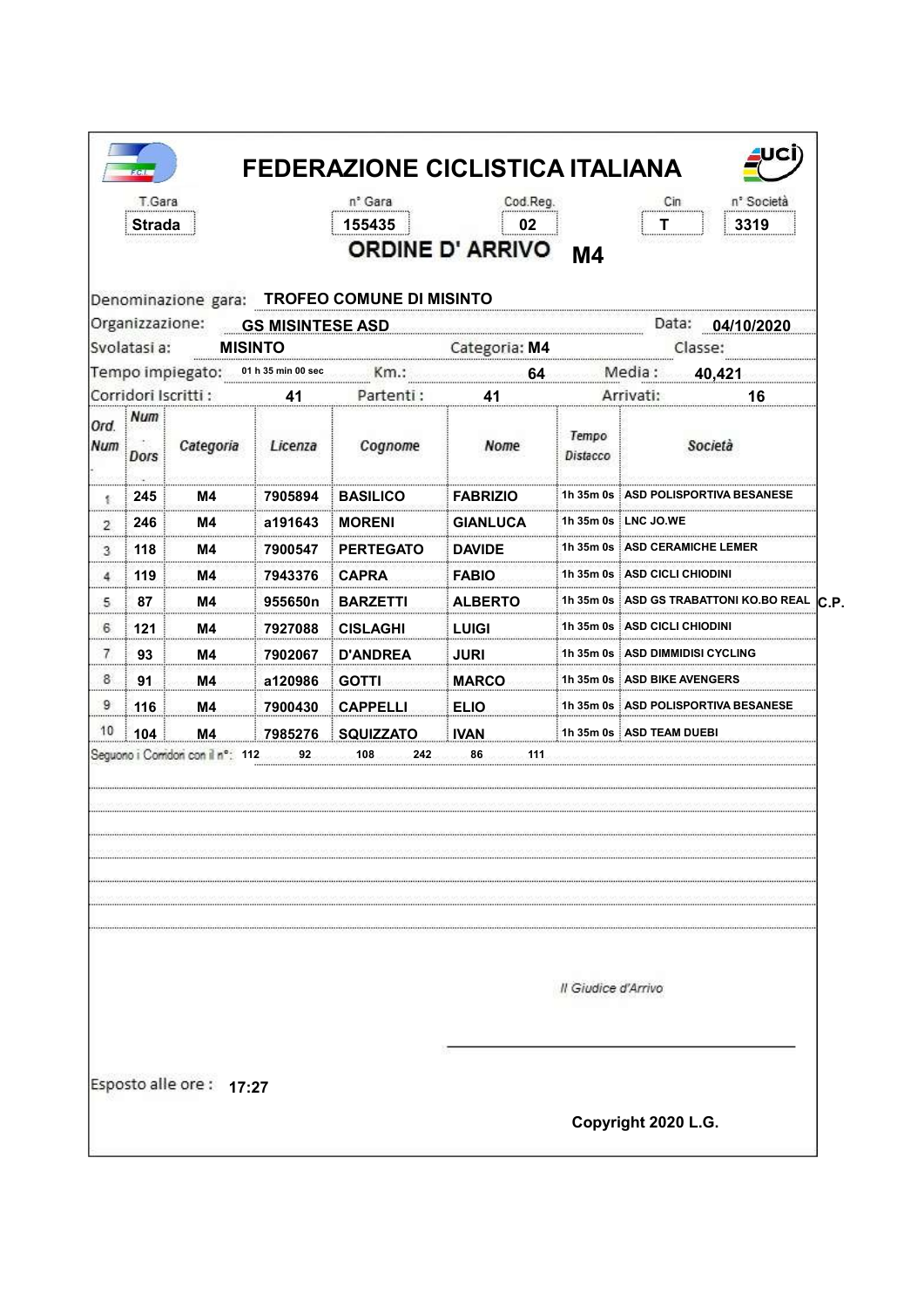|                | T.Gara<br>Strada |                                  |                    | n <sup>°</sup> Gara<br>155435                | Cod.Reg.<br>02<br><b>ORDINE D' ARRIVO</b> | <b>M4</b>           | n <sup>°</sup> Società<br>Cin<br>3319          |
|----------------|------------------|----------------------------------|--------------------|----------------------------------------------|-------------------------------------------|---------------------|------------------------------------------------|
|                |                  | Organizzazione: GS MISINTESE ASD |                    | Denominazione gara: TROFEO COMUNE DI MISINTO |                                           |                     |                                                |
|                | Svolatasi a:     |                                  | <b>MISINTO</b>     |                                              | Categoria: M4                             |                     | Data: 04/10/2020<br>Classe:                    |
|                |                  | Tempo impiegato:                 | 01 h 35 min 00 sec | Km.:                                         | 64                                        |                     | Media:<br>40,421                               |
|                |                  | Corridori Iscritti :             | 41                 | Partenti:                                    | 41                                        |                     | Arrivati:<br>16                                |
| Ord.<br>Num    | Num<br>Dors      | Categoria                        | Licenza            | Cognome                                      | Nome                                      | Tempo<br>Distacco   | Società                                        |
| 髪              | 245              | M4                               | 7905894            | <b>BASILICO</b>                              | <b>FABRIZIO</b>                           |                     | 1h 35m 0s : ASD POLISPORTIVA BESANESE          |
| $\overline{2}$ | 246              | M4                               | a191643            | <b>MORENI</b>                                | GIANLUCA                                  |                     | 1h 35m 0s LNC JO.WE                            |
| 3              | 118              | M4                               | 7900547            | <b>PERTEGATO</b>                             | <b>DAVIDE</b>                             |                     | 1h 35m 0s : ASD CERAMICHE LEMER                |
| 4              | 119              | M4                               | 7943376            | <b>CAPRA</b>                                 | <b>FABIO</b>                              |                     | 1h 35m 0s ASD CICLI CHIODINI                   |
| 5.             | 87               | M4                               | 955650n            | <b>BARZETTI</b>                              | <b>ALBERTO</b>                            |                     | 1h 35m 0s ASD GS TRABATTONI KO.BO REAL<br>C.P. |
| 6              | 121              | M4                               | 7927088            | <b>CISLAGHI</b>                              | <b>LUIGI</b>                              |                     | 1h 35m 0s : ASD CICLI CHIODINI                 |
| 7              | 93               | M4                               | 7902067            | <b>D'ANDREA</b>                              | <b>JURI</b>                               |                     | 1h 35m 0s ∃ASD DIMMIDISI CYCLING               |
| 8              | 91               | M4                               | a120986            | <b>GOTTI</b>                                 | <b>MARCO</b>                              |                     | 1h 35m 0s   ASD BIKE AVENGERS                  |
| 9              | 116              | M4.                              | 7900430            | <b>CAPPELLI</b>                              | <b>ELIO</b>                               |                     | 1h 35m 0s : ASD POLISPORTIVA BESANESE          |
| 10             | 104              | <b>M4</b>                        | 7985276            | <b>SQUIZZATO</b>                             | <b>IVAN</b>                               |                     | 1h 35m 0s ASD TEAM DUEBI                       |
|                |                  | Seguono i Comdoni con il nº: 112 | 92                 | 242<br>108                                   | 86<br>111                                 |                     |                                                |
|                |                  |                                  |                    |                                              |                                           |                     |                                                |
|                |                  |                                  |                    |                                              |                                           | Il Giudice d'Arrivo |                                                |
|                |                  | Esposto alle ore: 17:27          |                    |                                              |                                           |                     | Copyright 2020 L.G.                            |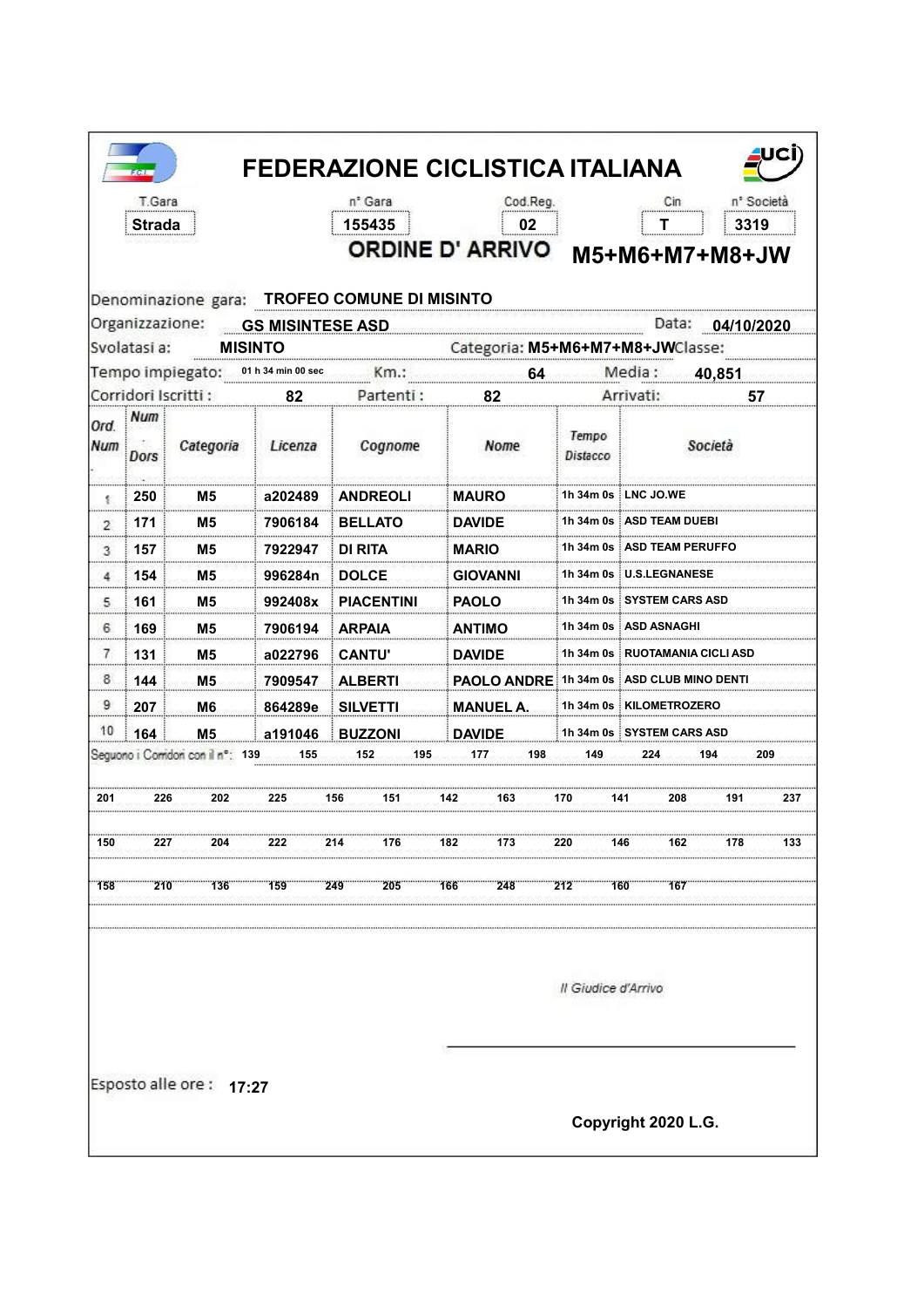|            | T.Gara<br><b>Strada</b> |                                     |                | n <sup>°</sup> Gara<br>155435                | Cod.Reg.<br>02                           |                     | Cin<br>Т                         |                  | n <sup>*</sup> Società<br>3319 |
|------------|-------------------------|-------------------------------------|----------------|----------------------------------------------|------------------------------------------|---------------------|----------------------------------|------------------|--------------------------------|
|            |                         |                                     |                |                                              | <b>ORDINE D' ARRIVO</b>                  |                     | M5+M6+M7+M8+JW                   |                  |                                |
|            |                         |                                     |                | Denominazione gara: TROFEO COMUNE DI MISINTO |                                          |                     |                                  |                  |                                |
|            | Svolatasi a:            | Organizzazione: GS MISINTESE ASD    | <b>MISINTO</b> |                                              | Categoria: M5+M6+M7+M8+JWClasse:         |                     |                                  | Data: 04/10/2020 |                                |
|            |                         | Tempo impiegato: 01 h 34 min 00 sec |                |                                              | 64                                       |                     | Media:                           | 40,851           |                                |
|            |                         | Corridori Iscritti:                 | 82             | Partenti:                                    | 82                                       |                     | Arrivati:                        |                  | 57                             |
| Ord<br>Num | : Num<br>Dors           | Categoria                           | Licenza        | Cognome                                      | Nome                                     | Tempo<br>Distacco   |                                  | Società          |                                |
| 李          | 250                     | M5                                  | a202489        | <b>ANDREOLI</b>                              | <b>MAURO</b>                             |                     | 1h 34m 0s LNC JO.WE              |                  |                                |
| 2          | 171                     | М5                                  | 7906184        | <b>BELLATO</b>                               | <b>DAVIDE</b>                            |                     | 1h 34m 0s ASD TEAM DUEB          |                  |                                |
| 3          | 157                     | M5                                  | 7922947        | DI RITA                                      | <b>MARIO</b>                             |                     | 1h 34m 0s : ASD TEAM PERUFFO     |                  |                                |
| 4          | 154                     | Μ5                                  | 996284n        | <b>DOLCE</b>                                 | <b>GIOVANNI</b>                          |                     | 1h 34m 0s ┊U.S.LEGNANESE         |                  |                                |
| 5          | 161                     | M5                                  | 992408x        | <b>PIACENTINI</b>                            | <b>PAOLO</b>                             |                     | 1h 34m 0s ∶SYSTEM CARS ASD       |                  |                                |
| 6          | 169                     | M5                                  | 7906194        | <b>ARPAIA</b>                                | ANTIMO                                   |                     | 1h 34m 0s ∶ASD ASNAGHI           |                  |                                |
| 7          | 131                     | M5                                  | a022796        | <b>CANTU'</b>                                | <b>DAVIDE</b>                            |                     | 1h 34m 0s : RUOTAMANIA CICLI ASD |                  |                                |
| 8.         | 144                     | M5                                  | 7909547        | <b>ALBERTI</b>                               | PAOLO ANDRE 1h 34m 0s ASD CLUB MINO DENT |                     |                                  |                  |                                |
| 9          | 207                     | M <sub>6</sub>                      | 864289e        | <b>SILVETTI</b>                              | <b>MANUEL A.</b>                         |                     | 1h 34m 0s   KILOMETROZERO        |                  |                                |
| 10         | 164                     | M <sub>5</sub>                      | a191046        | <b>BUZZONI</b>                               | <b>DAVIDE</b>                            |                     | 1h 34m 0s SYSTEM CARS ASD        |                  |                                |
|            |                         | Seguono i Comdon con il nº: 139     | 155            | 152<br>195                                   | 177<br>198                               | 149.                | 224                              | 194              | 209                            |
| 201        | 226                     | 202                                 | 225            | 156<br>151                                   | 142<br>163                               | 170                 | 208<br>141                       | 191              | 237                            |
|            |                         |                                     |                |                                              |                                          |                     |                                  |                  |                                |
| 150        | 227                     | 204                                 | 222            | 214<br>176                                   | 182<br>173                               | 220                 | 146<br>162                       | 178              | 133                            |
| 158        | 210                     | 136                                 | 159            | 249<br>205                                   | 248<br>166                               | 212                 | 160<br>167                       |                  |                                |
|            |                         |                                     |                |                                              |                                          | Il Giudice d'Arrivo |                                  |                  |                                |
|            |                         | Esposto alle ore: 17:27             |                |                                              |                                          |                     |                                  |                  |                                |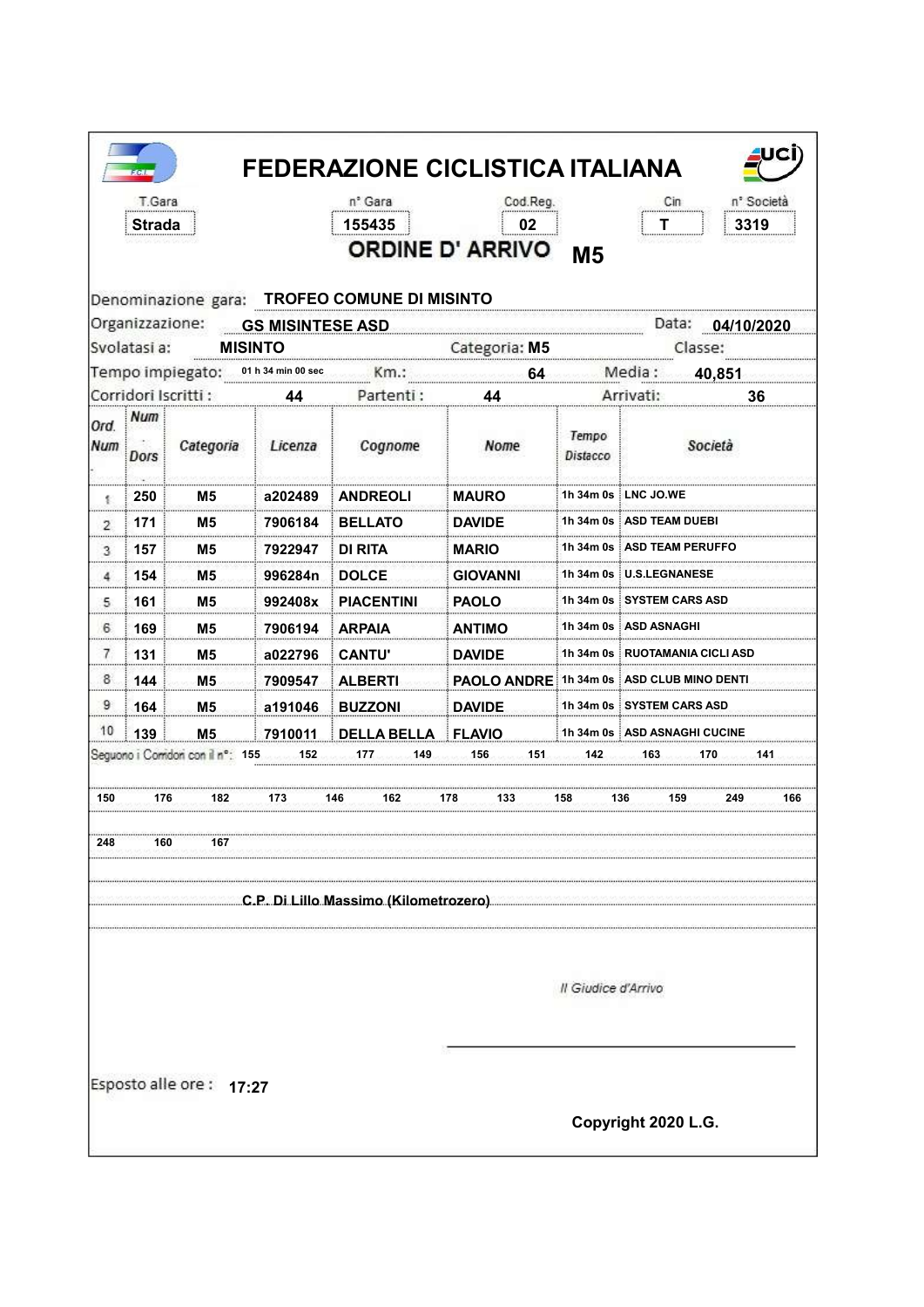|                    | T.Gara<br>Strada |                                        |                         | n° Gara<br>155435<br>Denominazione gara: TROFEO COMUNE DI MISINTO | Cod.Reg.<br>02<br>ORDINE D' ARRIVO M5     |                          | Cin                              | n° Società<br>3319 |
|--------------------|------------------|----------------------------------------|-------------------------|-------------------------------------------------------------------|-------------------------------------------|--------------------------|----------------------------------|--------------------|
|                    |                  | Organizzazione:                        | <b>GS MISINTESE ASD</b> |                                                                   |                                           |                          |                                  | Data: 04/10/2020   |
|                    | Svolatasi a:     |                                        | <b>MISINTO</b>          |                                                                   | Categoria: M5                             |                          |                                  | Classe:            |
|                    |                  | Tempo impiegato:                       | 01 h 34 min 00 sec      | Km.:                                                              | 64                                        |                          | Media:                           | 40,851             |
|                    |                  | Corridori Iscritti:                    | 44                      | Partenti:                                                         | 44                                        |                          | Arrivati:                        | 36                 |
| Ord.<br><b>Num</b> | Num<br>Dors      | Categoria                              | Licenza                 | Cognome                                                           | Nome                                      | Tempo<br><b>Distacco</b> |                                  | Società            |
| 髪                  | 250              | M5                                     | a202489                 | <b>ANDREOLI</b>                                                   | <b>MAURO</b>                              |                          | 1h 34m 0s ∃LNC JO.WE             |                    |
| 2                  | 171              | M5                                     | 7906184                 | <b>BELLATO</b>                                                    | <b>DAVIDE</b>                             |                          | 1h 34m 0s ┊ASD TEAM DUEBI        |                    |
| 3                  | 157              | M5                                     | 7922947                 | DI RITA                                                           | <b>MARIO</b>                              |                          | 1h 34m 0s   ASD TEAM PERUFFO     |                    |
| 4                  | 154              | M5                                     | 996284n                 | <b>DOLCE</b>                                                      | <b>GIOVANNI</b>                           |                          | 1h 34m 0s U.S.LEGNANESE          |                    |
| 5.                 | 161              | M5                                     | 992408x                 | <b>PIACENTINI</b>                                                 | <b>PAOLO</b>                              |                          | 1h 34m 0s i SYSTEM CARS ASD      |                    |
| 6                  | 169              | M5                                     | 7906194                 | <b>ARPAIA</b>                                                     | <b>ANTIMO</b>                             |                          | 1h 34m 0s   ASD ASNAGHI          |                    |
| 7                  | 131              | M5                                     | a022796                 | <b>CANTU'</b>                                                     | <b>DAVIDE</b>                             |                          | 1h 34m 0s : RUOTAMANIA CICLI ASD |                    |
| 8                  | 144              | M <sub>5</sub>                         | 7909547                 | <b>ALBERTI</b>                                                    | PAOLO ANDRE 1h 34m 0s ASD CLUB MINO DENTI |                          |                                  |                    |
| 9                  | 164              | <b>M5</b>                              | a191046                 | <b>BUZZONI</b>                                                    | <b>DAVIDE</b>                             |                          | 1h 34m 0s SYSTEM CARS ASD        |                    |
| 10                 | 139              | M <sub>5</sub>                         | 7910011                 | <b>DELLA BELLA FLAVIO</b>                                         |                                           |                          | 1h 34m 0s   ASD ASNAGHI CUCINE   |                    |
|                    |                  | Seguono i Corridori con il nº: 155 452 |                         | 177<br>149                                                        | 156<br>151                                | 142                      | 163                              | 170<br>141         |
| 150                | 176              | 182                                    | 173                     | 146<br>162                                                        | 178<br>133                                | 158                      | 136<br>159                       | 249<br>166         |
| 248                | 160              | 167                                    |                         |                                                                   |                                           |                          |                                  |                    |
|                    |                  |                                        |                         | C.P. Di Lillo Massimo (Kilometrozero)                             |                                           |                          |                                  |                    |
|                    |                  |                                        |                         |                                                                   |                                           | Il Giudice d'Arrivo      |                                  |                    |
|                    |                  | Esposto alle ore: 17:27                |                         |                                                                   |                                           |                          | Copyright 2020 L.G.              |                    |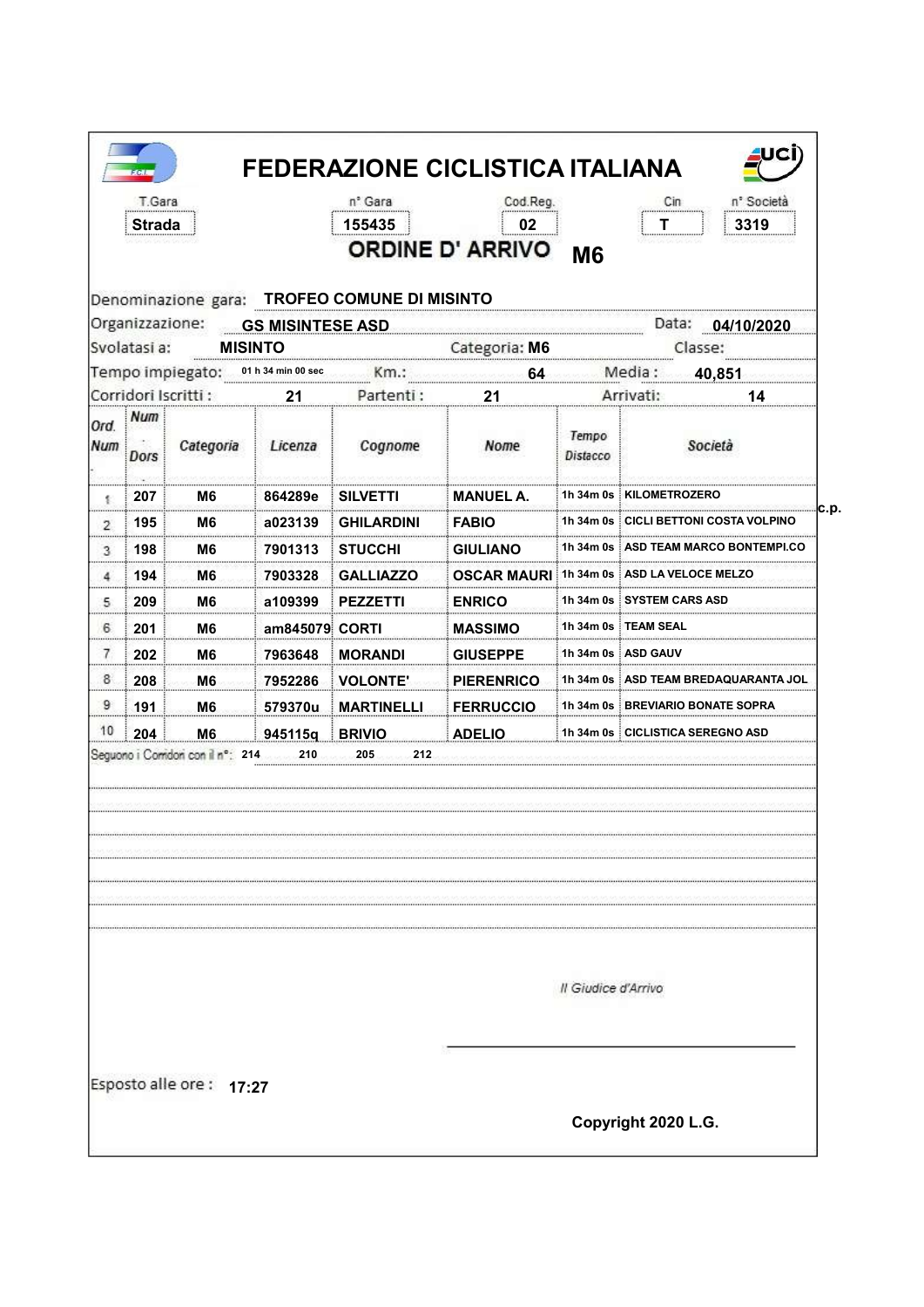|                                          |                                 |                         | 155435                                       | Cod.Reg.<br>02<br><b>ORDINE D' ARRIVO</b> | <b>M6</b>           | 3319                                   |
|------------------------------------------|---------------------------------|-------------------------|----------------------------------------------|-------------------------------------------|---------------------|----------------------------------------|
|                                          |                                 |                         | Denominazione gara: TROFEO COMUNE DI MISINTO |                                           |                     |                                        |
| Organizzazione:                          |                                 | <b>GS MISINTESE ASD</b> |                                              |                                           |                     | Data:<br>04/10/2020                    |
| Svolatasi a:                             |                                 | <b>MISINTO</b>          |                                              | Categoria: M6                             |                     | Classe:                                |
| Tempo impiegato:<br>Corridori Iscritti : |                                 | 01 h 34 min 00 sec      | Km.:<br>Partenti:                            | 64                                        |                     | Media :<br>40,851<br>Arrivati:         |
| Num                                      |                                 | 21                      |                                              | 21                                        |                     | 14                                     |
| Ord.<br>Num<br><b>Dors</b>               | Categoria                       | Licenza                 | Cognome                                      | Nome                                      | Tempo<br>Distacco   | Società                                |
| 207<br>劃                                 | M6                              | 864289e                 | <b>SILVETTI</b>                              | <b>MANUEL A.</b>                          |                     | 1h 34m 0s : KILOMETROZERO              |
| 195<br>2                                 | M6                              | a023139                 | <b>GHILARDINI</b>                            | <b>FABIO</b>                              |                     | 1h 34m 0s ┊CICLI BETTONI COSTA         |
| 198<br>3                                 | M6                              | 7901313                 | <b>STUCCHI</b>                               | <b>GIULIANO</b>                           |                     | 1h 34m 0s i ASD TEAM MARCO BONTEMPI.CO |
| 194<br>4                                 | M6                              | 7903328                 | <b>GALLIAZZO</b>                             | <b>OSCAR MAURI</b>                        |                     | 1h 34m 0s : ASD LA VELOCE MELZO        |
| 209<br>5                                 | M6                              | a109399                 | <b>PEZZETTI</b>                              | <b>ENRICO</b>                             |                     | 1h 34m 0s i SYSTEM CARS ASD            |
| 6<br>201                                 | M6                              | am845079 CORTI          |                                              | <b>MASSIMO</b>                            |                     | 1h 34m 0s i TEAM SEAL                  |
| 7<br>202                                 | M6                              | 7963648                 | <b>MORANDI</b>                               | <b>GIUSEPPE</b>                           |                     | 1h 34m 0s i ASD GAUV                   |
| 8<br>208                                 | M6                              | 7952286                 | <b>VOLONTE'</b>                              | <b>PIERENRICO</b>                         |                     | 1h 34m 0s : ASD TEAM BREDAQUARANTA J   |
| 9<br>191                                 | M6.                             | 579370u                 | <b>MARTINELLI</b>                            | <b>FERRUCCIO</b>                          |                     | 1h 34m 0s BREVIARIO BONATE SOPRA       |
| 10<br>204                                | M <sub>6</sub>                  | 945115q                 | <b>BRIVIO</b>                                | <b>ADELIO</b>                             |                     | 1h 34m 0s CICLISTICA SEREGNO ASD       |
|                                          | Seguono i Comdon con il nº: 214 |                         |                                              |                                           | Il Giudice d'Arrivo |                                        |